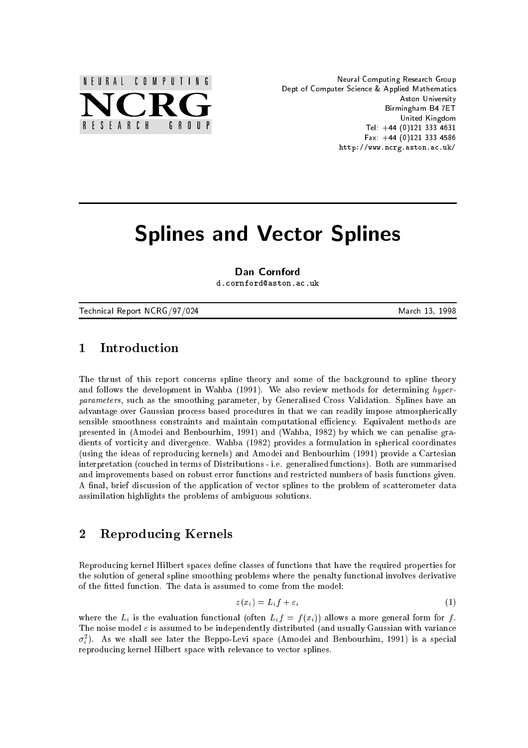

Neural Computing Research Group Dept of Computer Science & Applied Mathematics Aston University Birmingham B4 7ET United Kingdom Tel:  $+44$  (0)121 333 4631 Fax:  $+44$  (0)121 333 4586 http://www.ncrg.aston.ac.uk/

# Splines and Vector Splines

Dan Cornford d.cornford@aston.ac.uk

Technical Report NCRG/97/024 March 13, 1998

#### $\mathbf{1}$ **Introduction**

The thrust of this report concerns spline theory and some of the background to spline theory and follows the development in Wahba (1991). We also review methods for determining hyperparameters, such as the smoothing parameter, by Generalised Cross Validation. Splines have an advantage over Gaussian process based procedures in that we can readily impose atmospherically sensible smoothness constraints and maintain computational efficiency. Equivalent methods are presented in (Amodei and Benbourhim, 1991) and (Wahba, 1982) by which we can penalise gradients of vorticity and divergence. Wahba (1982) provides a formulation in spherical coordinates (using the ideas of reproducing kernels) and Amodei and Benbourhim (1991) provide a Cartesian interpretation (couched in terms of Distributions - i.e. generalised functions). Both are summarised and improvements based on robust error functions and restricted numbers of basis functions given. A final, brief discussion of the application of vector splines to the problem of scatterometer data assimilation highlights the problems of ambiguous solutions.

# 2 Reproducing Kernels

Reproducing kernel Hilbert spaces define classes of functions that have the required properties for the solution of general spline smoothing problems where the penalty functional involves derivative of the fitted function. The data is assumed to come from the model:

$$
z(x_i) = L_i f + \varepsilon_i \tag{1}
$$

where the  $L_i$  is the evaluation functional (often  $L_i f = f(x_i)$ ) allows a more general form for f. The noise model  $\varepsilon$  is assumed to be independently distributed (and usually Gaussian with variance  $\sigma_i$ ). As we shall see later the Beppo-Levi space (Amodei and Benbourhim, 1991) is a special reproducing kernel Hilbert space with relevance to vector splines.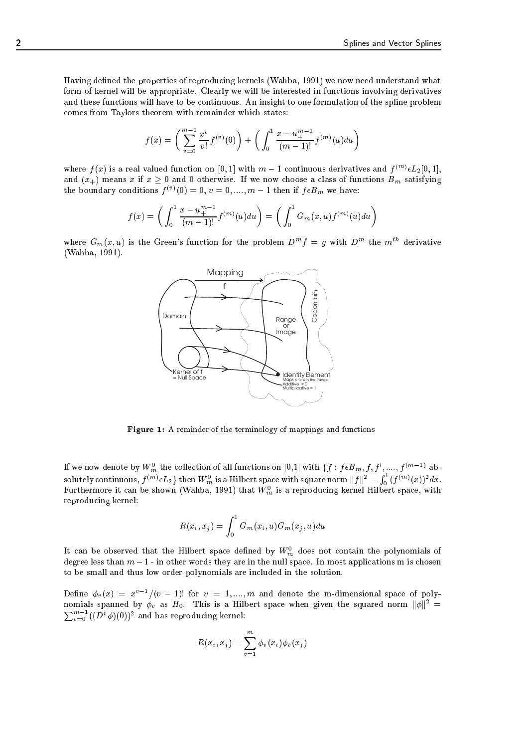Having defined the properties of reproducing kernels (Wahba, 1991) we now need understand what form of kernel will be appropriate. Clearly we will be interested in functions involving derivatives and these functions will have to be continuous. An insight to one formulation of the spline problem comes from Taylors theorem with remainder which states:

$$
f(x) = \left(\sum_{v=0}^{m-1} \frac{x^v}{v!} f^{(v)}(0)\right) + \left(\int_0^1 \frac{x - u_+^{m-1}}{(m-1)!} f^{(m)}(u) du\right)
$$

where  $f(x)$  is a real valued function on  $[0,1]$  with  $m-1$  continuous derivatives and  $f^{(m)}\epsilon L_2[0,1],$ and  $(x_{+})$  means x if  $x \ge 0$  and 0 otherwise. If we now choose a class of functions  $B_m$  satisfying the boundary conditions  $f^{(v)}(0) = 0, v = 0, ..., m - 1$  then if  $f \epsilon D_m$  we have:

$$
f(x) = \left(\int_0^1 \frac{x - u_+^{m-1}}{(m-1)!} f^{(m)}(u) du\right) = \left(\int_0^1 G_m(x, u) f^{(m)}(u) du\right)
$$

where  $G_m(x, u)$  is the Green's function for the problem  $D^m f = g$  with  $D^m$  the  $m^{th}$  derivative (Wahba, 1991).



 $-$  -  $\blacksquare$  . A reminder of the terminology of mappings and functions

If we now denote by  $W_m^-$  the collection of all functions on [0,1] with  $\{J: J \in B_m, J, J, ,..., J^{(m-1)} \text{ ab-} \}$ solutely continuous,  $f^{(m)}\epsilon L_2$ } then  $W_m^0$  is a Hilbert space with square norm  $||f||^2 = \int_0^1$  $_{0}$  (*J*  $'(x)$ *)* ax. Furthermore it can be shown (wahba, 1991) that  $W_m$  is a reproducing kernel Hilbert space, with reproducing kernel:

$$
R(x_i, x_j) = \int_0^1 G_m(x_i, u) G_m(x_j, u) du
$$

It can be observed that the Hilbert space defined by  $W_m$  does not contain the polynomials of degree less than  $m-1$  - in other words they are in the null space. In most applications m is chosen to be small and thus low order polynomials are included in the solution.

Define  $\varphi_v(x) = x^{\tau-1}$  ( $v = 1$ ): for  $v = 1, ..., m$  and denote the m-dimensional space of polynomials spanned by  $\phi_v$  as  $H_0$ . This is a Hilbert space when given the squared norm  $\|\phi\|^2$  =  $\sum_{v=0}^{m-1} ((D^v \phi)(0))^2$  and has reproducing kernel:

$$
R(x_i, x_j) = \sum_{v=1}^m \phi_v(x_i) \phi_v(x_j)
$$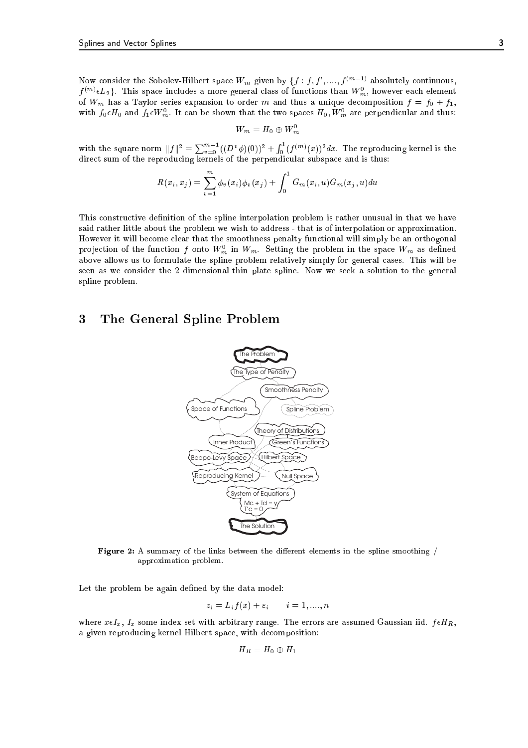Now consider the Sobolev-Hilbert space  $W_m$  given by  $\{f: f, f, \ldots, f^{(m-1)}\}$  absolutely continuous,  $f^{\langle m\rangle}\epsilon L_2$ }. This space includes a more general class of functions than  $W_m^+ ,$  however each element of  $W_m$  has a Taylor series expansion to order m and thus a unique decomposition  $f = f_0 + f_1$ , with  $f_0\epsilon H_0$  and  $f_1\epsilon W_m$ . It can be shown that the two spaces  $H_0, W_m$  are perpendicular and thus:

$$
W_m=H_0\oplus W_m^0
$$

with the square norm  $||f||^2 = \sum_{v=0}^{m-1} ((D^v \phi)(0))^2 + \int_0^1$  $_0$  (*J*  $\left($   $\ldots$  $\right)$   $\left($   $\left($   $x\right)$   $\right)$   $\sigma$   $x$  . The reproducing kernel is the direct sum of the reproducing kernels of the perpendicular subspace and is thus:

$$
R(x_i, x_j) = \sum_{v=1}^{m} \phi_v(x_i) \phi_v(x_j) + \int_0^1 G_m(x_i, u) G_m(x_j, u) du
$$

This constructive definition of the spline interpolation problem is rather unusual in that we have said rather little about the problem we wish to address - that is of interpolation or approximation. However it will become clear that the smoothness penalty functional will simply be an orthogonal projection of the function f onto  $W_m$  in  $W_m$ . Setting the problem in the space  $W_m$  as defined above allows us to formulate the spline problem relatively simply for general cases. This will be seen as we consider the 2 dimensional thin plate spline. Now we seek a solution to the general spline problem.

# 3 The General Spline Problem



Figure 2: A summary of the links between the dierent elements in the spline smoothing / approximation problem.

Let the problem be again defined by the data model:

$$
z_i = L_i f(x) + \varepsilon_i \qquad i = 1, \dots, n
$$

where  $x \in I_x$ ,  $I_x$  some index set with arbitrary range. The errors are assumed Gaussian iid.  $f \in H_R$ , a given reproducing kernel Hilbert space, with decomposition:

$$
H_R=H_0\oplus H_1
$$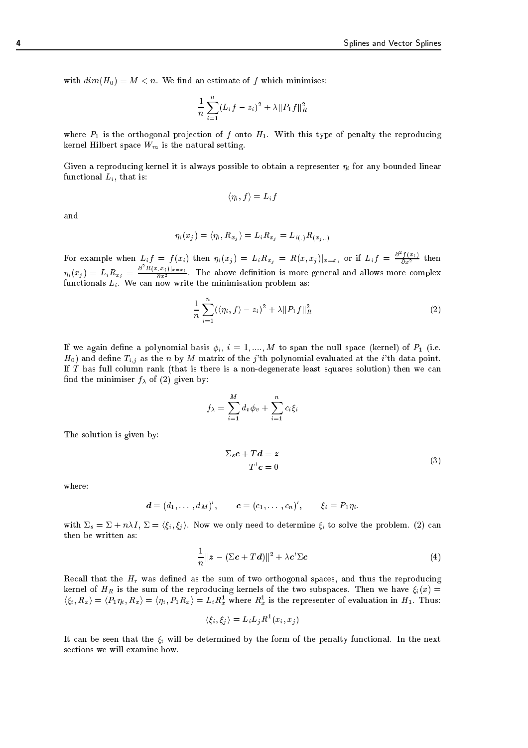with  $dim(H_0) = M < n$ . We find an estimate of f which minimises:

$$
\frac{1}{n}\sum_{i=1}^{n}(L_{i}f-z_{i})^{2} + \lambda ||P_{1}f||_{R}^{2}
$$

where  $P_1$  is the orthogonal projection of f onto  $H_1$ . With this type of penalty the reproducing kernel Hilbert space  $W_m$  is the natural setting.

Given a reproducing kernel it is always possible to obtain a representer  $\eta_i$  for any bounded linear functional  $L_i$ , that is:

$$
\langle \eta_i, f \rangle = L_i f
$$

and

$$
\eta_i(x_j) = \langle \eta_i, R_{x_j} \rangle = L_i R_{x_j} = L_{i(.)} R_{(x_j,.)}
$$

For example when  $L_i f = f(x_i)$  then  $\eta_i(x_j) = L_i R_{x_j} = R(x,x_j)|_{x=x_i}$  or if  $L_i f = \frac{\sigma f(x_i)}{\partial x^2}$  then  $\eta_i(x_j) = L_i R_{x_j} = \frac{\sigma^2 R(x_i, x_j)|_{x=x_i}}{\partial x^2}$ . The above definition is more general and allows more complex functionals  $L_i$ . We can now write the minimisation problem as:

$$
\frac{1}{n}\sum_{i=1}^{n}(\langle\eta_i,f\rangle-z_i)^2+\lambda||P_1f||_R^2
$$
\n(2)

If we again define a polynomial basis  $\phi_i$ ,  $i = 1, ..., M$  to span the null space (kernel) of  $P_1$  (i.e.  $H_0$ ) and define  $T_{i,j}$  as the n by M matrix of the j'th polynomial evaluated at the i'th data point. If T has full column rank (that is there is a non-degenerate least squares solution) then we can find the minimiser  $f_{\lambda}$  of (2) given by:

$$
f_{\lambda} = \sum_{i=1}^{M} d_v \phi_v + \sum_{i=1}^{n} c_i \xi_i
$$

The solution is given by:

$$
\Sigma_s c + T d = z
$$
  
\n
$$
T'c = 0
$$
\n(3)

where:

$$
\boldsymbol{d}=(d_1,\ldots,d_M)',\qquad \boldsymbol{c}=(c_1,\ldots,c_n)',\qquad \xi_i=P_1\eta_i.
$$

with  $\Sigma_s = \Sigma + n\lambda I$ ,  $\Sigma = \langle \xi_i, \xi_j \rangle$ . Now we only need to determine  $\xi_i$  to solve the problem. (2) can then be written as:

$$
\frac{1}{n}||z - (\Sigma c + Td)||^2 + \lambda c' \Sigma c \tag{4}
$$

Recall that the  $H_r$  was defined as the sum of two orthogonal spaces, and thus the reproducing kernel of  $H_R$  is the sum of the reproducing kernels of the two subspaces. Then we have  $\xi_i(x)$  =  $\langle \zeta_i, R_x \rangle = \langle P_1 \eta_i, R_x \rangle = \langle \eta_i, P_1 R_x \rangle = L_i R_x$  where  $R_x$  is the representer of evaluation in  $H_1$ . Thus:

$$
\langle \xi_i, \xi_j \rangle = L_i L_j R^1(x_i, x_j)
$$

It can be seen that the  $\xi_i$  will be determined by the form of the penalty functional. In the next sections we will examine how.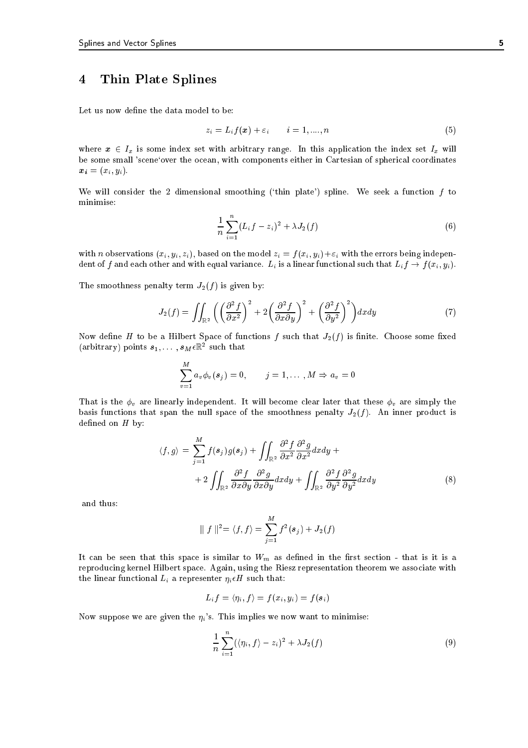# 4 Thin Plate Splines

Let us now define the data model to be:

$$
z_i = L_i f(\boldsymbol{x}) + \varepsilon_i \qquad i = 1, \dots, n \tag{5}
$$

where  $x \in I_x$  is some index set with arbitrary range. In this application the index set  $I_x$  will be some small 'scene`over the ocean, with components either in Cartesian of spherical coordinates  $\boldsymbol{x_i} = (x_i, y_i).$ 

We will consider the 2 dimensional smoothing ('thin plate') spline. We seek a function  $f$  to minimise:

$$
\frac{1}{n}\sum_{i=1}^{n}(L_{i}f-z_{i})^{2}+\lambda J_{2}(f)
$$
\n(6)

with n observations  $(x_i, y_i, z_i)$ , based on the model  $z_i = f(x_i, y_i) + \varepsilon_i$  with the errors being independent of f and each other and with equal variance.  $L_i$  is a linear functional such that  $L_i f \rightarrow f(x_i, y_i)$ .

The smoothness penalty term  $J_2(f)$  is given by:

$$
J_2(f) = \iint_{\mathbb{R}^2} \left( \left( \frac{\partial^2 f}{\partial x^2} \right)^2 + 2 \left( \frac{\partial^2 f}{\partial x \partial y} \right)^2 + \left( \frac{\partial^2 f}{\partial y^2} \right)^2 \right) dx dy \tag{7}
$$

Now define H to be a Hilbert Space of functions f such that  $J_2(f)$  is finite. Choose some fixed (arbitrary) points  $s_1, \ldots, s_M \epsilon$  is such that

$$
\sum_{v=1}^{M} a_v \phi_v(s_j) = 0, \qquad j = 1, \ldots, M \Rightarrow a_v = 0
$$

That is the  $\phi_v$  are linearly independent. It will become clear later that these  $\phi_v$  are simply the basis functions that span the null space of the smoothness penalty  $J_2(f)$ . An inner product is defined on  $H$  by:

$$
\langle f, g \rangle = \sum_{j=1}^{M} f(s_j) g(s_j) + \iint_{\mathbb{R}^2} \frac{\partial^2 f}{\partial x^2} \frac{\partial^2 g}{\partial x^2} dx dy +
$$
  
+ 
$$
2 \iint_{\mathbb{R}^2} \frac{\partial^2 f}{\partial x \partial y} \frac{\partial^2 g}{\partial x \partial y} dx dy + \iint_{\mathbb{R}^2} \frac{\partial^2 f}{\partial y^2} \frac{\partial^2 g}{\partial y^2} dx dy
$$
 (8)

and thus:

$$
\| f \|^{2} = \langle f, f \rangle = \sum_{j=1}^{M} f^{2}(s_{j}) + J_{2}(f)
$$

It can be seen that this space is similar to  $W_m$  as defined in the first section - that is it is a reproducing kernel Hilbert space. Again, using the Riesz representation theorem we associate with the linear functional  $L_i$  a representer  $\eta_i \in H$  such that:

$$
L_i f = \langle \eta_i, f \rangle = f(x_i, y_i) = f(\boldsymbol{s}_i)
$$

Now suppose we are given the  $\eta_i$ 's. This implies we now want to minimise:

$$
\frac{1}{n}\sum_{i=1}^{n}(\langle \eta_i,f\rangle-z_i)^2+\lambda J_2(f)
$$
\n(9)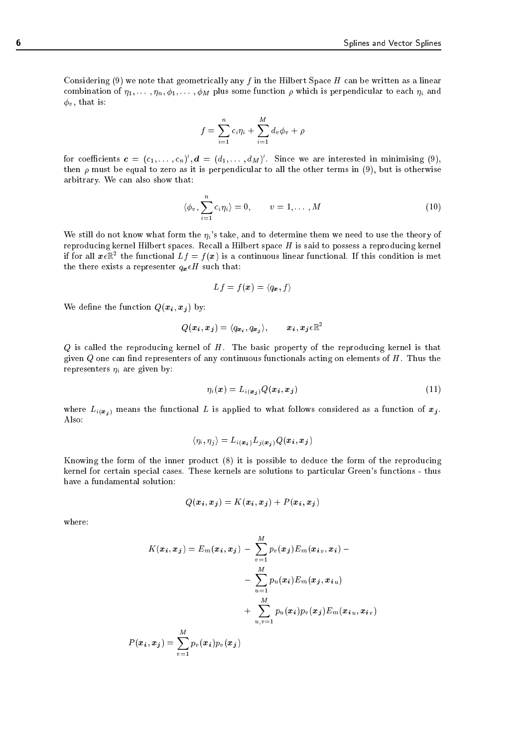Considering (9) we note that geometrically any f in the Hilbert Space  $H$  can be written as a linear combination of  $\eta_1, \ldots, \eta_n, \phi_1, \ldots, \phi_M$  plus some function  $\rho$  which is perpendicular to each  $\eta_i$  and  $\phi_v$ , that is:

$$
f = \sum_{i=1}^{n} c_i \eta_i + \sum_{i=1}^{M} d_v \phi_v + \rho
$$

for coefficients  $\bm{c} = (c_1, \dots, c_n)$  ,  $\bm{a} = (a_1, \dots, a_M)$  . Since we are interested in minimising (9), then  $\rho$  must be equal to zero as it is perpendicular to all the other terms in (9), but is otherwise arbitrary. We can also show that:

$$
\langle \phi_v, \sum_{i=1}^n c_i \eta_i \rangle = 0, \qquad v = 1, \dots, M
$$
 (10)

We still do not know what form the  $\eta_i$ 's take, and to determine them we need to use the theory of reproducing kernel Hilbert spaces. Recall a Hilbert space  $H$  is said to possess a reproducing kernel If for all  $x_{\ell,\mathbb{R}}$  the functional  $L_f = f(x)$  is a continuous finear functional. If this condition is met the there exists a representer  $q_x \epsilon H$  such that:

$$
Lf = f(\boldsymbol{x}) = \langle q_{\boldsymbol{x}}, f \rangle
$$

We define the function  $Q(x_i, x_j)$  by:

$$
Q(\bm{x_i},\bm{x_j}) = \langle q_{\bm{x_i}}, q_{\bm{x_j}} \rangle, \qquad \bm{x_i}, \bm{x_j} \epsilon \mathbb{R}^2
$$

 $Q$  is called the reproducing kernel of  $H$ . The basic property of the reproducing kernel is that given  $Q$  one can find representers of any continuous functionals acting on elements of  $H$ . Thus the representers  $\eta_i$  are given by:

$$
\eta_i(\boldsymbol{x}) = L_{i(\boldsymbol{x}_i)} Q(\boldsymbol{x}_i, \boldsymbol{x}_j) \tag{11}
$$

where  $L_{i(x_j)}$  means the functional L is applied to what follows considered as a function of  $x_j$ . Also:

$$
\langle \eta_i, \eta_j \rangle = L_{i(\mathbf{x_i})} L_{j(\mathbf{x_j})} Q(\mathbf{x_i}, \mathbf{x_j})
$$

Knowing the form of the inner product (8) it is possible to deduce the form of the reproducing kernel for certain special cases. These kernels are solutions to particular Green's functions - thus have a fundamental solution:

$$
Q(\boldsymbol{x}_i, \boldsymbol{x}_j) = K(\boldsymbol{x}_i, \boldsymbol{x}_j) + P(\boldsymbol{x}_i, \boldsymbol{x}_j)
$$

where:

$$
K(\boldsymbol{x_i}, \boldsymbol{x_j}) = E_m(\boldsymbol{x_i}, \boldsymbol{x_j}) - \sum_{v=1}^{M} p_v(\boldsymbol{x_j}) E_m(\boldsymbol{x_i}_{v}, \boldsymbol{x_i}) - \\ - \sum_{u=1}^{M} p_u(\boldsymbol{x_i}) E_m(\boldsymbol{x_j}, \boldsymbol{x_{iu}}) \\ + \sum_{u,v=1}^{M} p_u(\boldsymbol{x_i}) p_v(\boldsymbol{x_j}) E_m(\boldsymbol{x_{iu}}, \boldsymbol{x_{iv}})
$$

$$
P(\boldsymbol{x_i}, \boldsymbol{x_j}) = \sum_{v=1}^{M} p_v(\boldsymbol{x_i}) p_v(\boldsymbol{x_j})
$$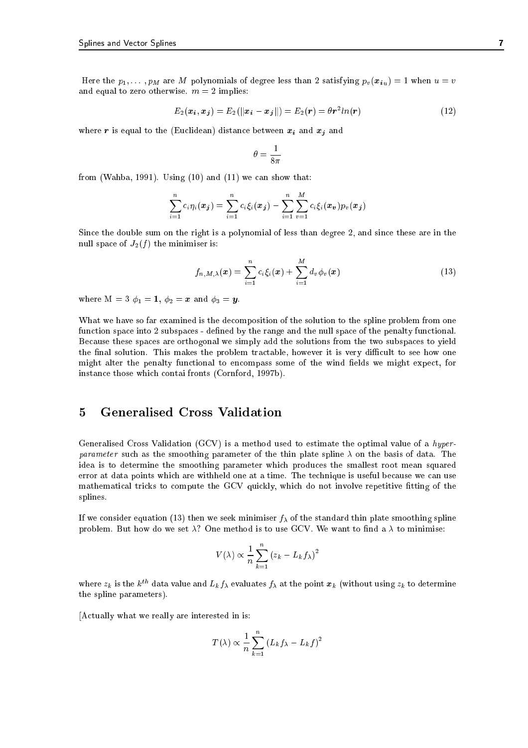Here the  $p_1, \ldots, p_M$  are M polynomials of degree less than 2 satisfying  $p_v(\boldsymbol{x}_{i}u) = 1$  when  $u = v$ and equal to zero otherwise.  $m = 2$  implies:

$$
E_2(x_i, x_j) = E_2(||x_i - x_j||) = E_2(r) = \theta r^2 ln(r)
$$
\n(12)

where r is equal to the (Euclidean) distance between  $x_i$  and  $x_j$  and

$$
\theta = \frac{1}{8\pi}
$$

from (Wahba, 1991). Using  $(10)$  and  $(11)$  we can show that:

$$
\sum_{i=1}^{n} c_i \eta_i(\bm{x_j}) = \sum_{i=1}^{n} c_i \xi_i(\bm{x_j}) - \sum_{i=1}^{n} \sum_{v=1}^{M} c_i \xi_i(\bm{x_v}) p_v(\bm{x_j})
$$

Since the double sum on the right is a polynomial of less than degree 2, and since these are in the null space of  $J_2(f)$  the minimiser is:

$$
f_{n,M,\lambda}(\boldsymbol{x}) = \sum_{i=1}^{n} c_i \xi_i(\boldsymbol{x}) + \sum_{i=1}^{M} d_v \phi_v(\boldsymbol{x})
$$
\n(13)

where  $M = 3 \phi_1 = 1, \phi_2 = x$  and  $\phi_3 = y$ .

What we have so far examined is the decomposition of the solution to the spline problem from one function space into 2 subspaces - defined by the range and the null space of the penalty functional. Because these spaces are orthogonal we simply add the solutions from the two subspaces to yield the final solution. This makes the problem tractable, however it is very difficult to see how one might alter the penalty functional to encompass some of the wind fields we might expect, for instance those which contai fronts (Cornford, 1997b).

# 5 Generalised Cross Validation

Generalised Cross Validation  $(GCV)$  is a method used to estimate the optimal value of a *hyper*parameter such as the smoothing parameter of the thin plate spline  $\lambda$  on the basis of data. The idea is to determine the smoothing parameter which produces the smallest root mean squared error at data points which are withheld one at a time. The technique is useful because we can use mathematical tricks to compute the GCV quickly, which do not involve repetitive fitting of the splines.

If we consider equation (13) then we seek minimiser  $f_{\lambda}$  of the standard thin plate smoothing spline problem. But how do we set  $\lambda$ ? One method is to use GCV. We want to find a  $\lambda$  to minimise:

$$
V(\lambda) \propto \frac{1}{n} \sum_{k=1}^{n} (z_k - L_k f_\lambda)^2
$$

where  $z_k$  is the  $k^{th}$  data value and  $L_k f_\lambda$  evaluates  $f_\lambda$  at the point  $x_k$  (without using  $z_k$  to determine the spline parameters).

[Actually what we really are interested in is:

$$
T(\lambda) \propto \frac{1}{n} \sum_{k=1}^{n} (L_k f_{\lambda} - L_k f)^2
$$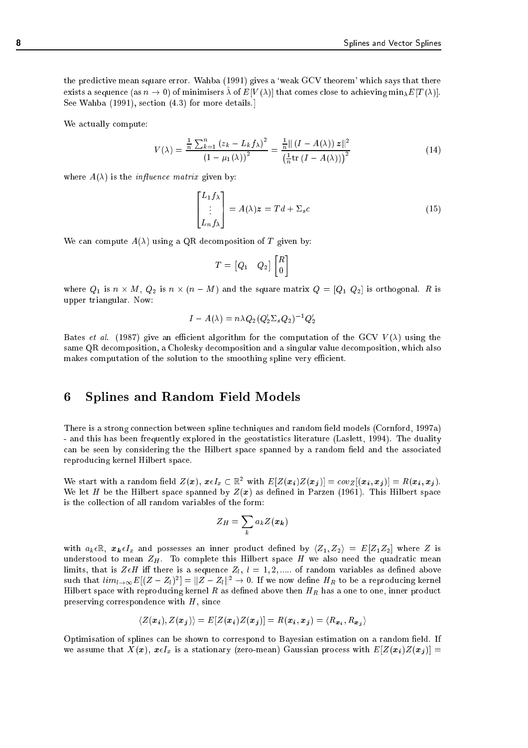the predictive mean square error. Wahba (1991) gives a 'weak GCV theorem' which says that there exists a sequence (as  $n \to 0$ ) of minimisers  $\lambda$  of  $E[V(\lambda)]$  that comes close to achieving min $\chi_{E}[T(\lambda)].$ See Wahba (1991), section (4.3) for more details.]

We actually compute:

$$
V(\lambda) = \frac{\frac{1}{n}\sum_{k=1}^{n}\left(z_k - L_k f_\lambda\right)^2}{\left(1 - \mu_1(\lambda)\right)^2} = \frac{\frac{1}{n}\left\|\left(I - A(\lambda)\right)z\right\|^2}{\left(\frac{1}{n}\text{tr}\left(I - A(\lambda)\right)\right)^2}
$$
(14)

where  $A(\lambda)$  is the *influence matrix* given by:

$$
\begin{bmatrix} L_1 f_\lambda \\ \vdots \\ L_n f_\lambda \end{bmatrix} = A(\lambda) \mathbf{z} = T d + \Sigma_s c \tag{15}
$$

We can compute  $A(\lambda)$  using a QR decomposition of T given by:

$$
T = \begin{bmatrix} Q_1 & Q_2 \end{bmatrix} \begin{bmatrix} R \\ 0 \end{bmatrix}
$$

where  $\mathbf{w}_{1}$  is n - for  $\mathbf{w}_{2}$  is n - (n  $\mathbf{w}_{1}$  ) is orthogonal. R is orthogonal. R is orthogonal. R is orthogonal. upper triangular. Now:

$$
I-A(\lambda)=n\lambda Q_2(Q_2'\Sigma_sQ_2)^{-1}Q_2'
$$

Bates *et al.* (1987) give an efficient algorithm for the computation of the GCV  $V(\lambda)$  using the same QR decomposition, a Cholesky decomposition and a singular value decomposition, which also makes computation of the solution to the smoothing spline very efficient.

#### 6 6 Splines and Random Field Models

There is a strong connection between spline techniques and random field models (Cornford, 1997a) - and this has been frequently explored in the geostatistics literature (Laslett, 1994). The duality can be seen by considering the the Hilbert space spanned by a random field and the associated reproducing kernel Hilbert space.

We start with a random neig  $Z(x)$ ,  $x \in I_x \subset \mathbb{R}^+$  with  $E[Z(x_i)Z(x_j)] = covZ[(x_i, x_j)] = R(x_i, x_j)$ . We let H be the Hilbert space spanned by  $Z(x)$  as defined in Parzen (1961). This Hilbert space is the collection of all random variables of the form:

$$
Z_H = \sum_k a_k Z(\boldsymbol{x_k})
$$

with  $a_k \in \mathbb{R}$ ,  $x_k \in I_x$  and possesses an inner product defined by  $\langle Z_1, Z_2 \rangle = E[Z_1 Z_2]$  where Z is understood to mean  $Z_H$ . To complete this Hilbert space H we also need the quadratic mean limits, that is  $Z \in H$  iff there is a sequence  $Z_l$ ,  $l = 1, 2, \dots$  of random variables as defined above such that  $\iota\iota m_l\to\infty$   $E[(Z\pm Z_l)^+] = \|Z\pm Z_l\|^2 \to 0.$  If we now define  $\pi_R$  to be a reproducing kerner Hilbert space with reproducing kernel  $R$  as defined above then  $H_R$  has a one to one, inner product preserving correspondence with  $H$ , since

$$
\langle Z(\boldsymbol{x}_i), Z(\boldsymbol{x}_j) \rangle = E[Z(\boldsymbol{x}_i)Z(\boldsymbol{x}_j)] = R(\boldsymbol{x}_i, \boldsymbol{x}_j) = \langle R_{\boldsymbol{x}_i}, R_{\boldsymbol{x}_j} \rangle
$$

Optimisation of splines can be shown to correspond to Bayesian estimation on a random field. If we assume that  $X(x)$ ,  $x \in I_x$  is a stationary (zero-mean) Gaussian process with  $E[Z(x_i)Z(x_j)] =$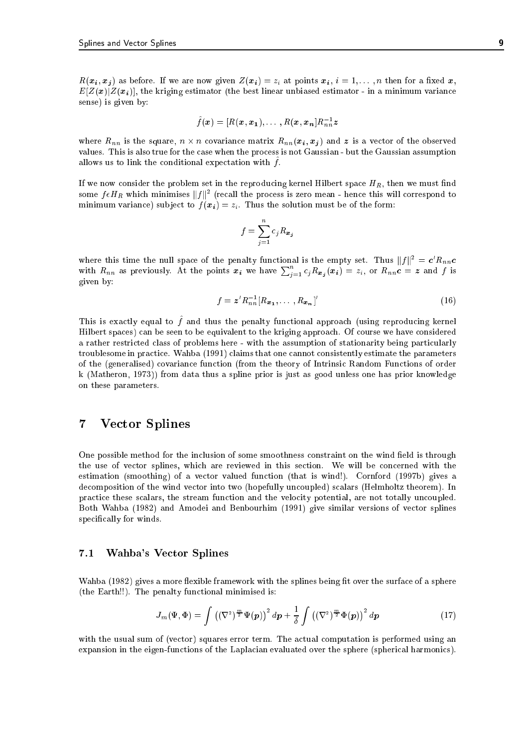$R(x_i, x_j)$  as before. If we are now given  $Z(x_i) = z_i$  at points  $x_i$ ,  $i = 1, \ldots, n$  then for a fixed x,  $E[Z(x)|Z(x_i)]$ , the kriging estimator (the best linear unbiased estimator - in a minimum variance sense) is given by:

$$
\hat{f}(\boldsymbol{x}) = [R(\boldsymbol{x}, \boldsymbol{x_1}), \dots, R(\boldsymbol{x}, \boldsymbol{x_n}]R_{nn}^{-1}\boldsymbol{z}]
$$

 $-$  1010 is the square, n -  $-$  1010 is a vector of the observed of the observed of the observed of the observed of the observed of the observed of the observed of the observed of the observed of the observed of the obser values. This is also true for the case when the process is not Gaussian - but the Gaussian assumption allows us to film the conditional expectation with  $f$ .

If we now consider the problem set in the reproducing kernel Hilbert space  $H_R$ , then we must find some  $f\epsilon\bm{\pi_B}$  which minimises  $\|f\|^2$  (recall the process is zero mean - hence this will correspond to minimum variance) subject to  $f(x_i) = z_i$ . Thus the solution must be of the form:

$$
f = \sum_{j=1}^{n} c_j R_{\boldsymbol{x}_j}
$$

where this time the null space of the penalty functional is the empty set. Thus  $||f||^2 = c'R_{nn}c$ with  $R_{nn}$  as previously. At the points  $x_i$  we have  $\sum_{i=1}^n c_j R_{x_i}(x_i) = z_i$ , or  $R_{nn}c = z$  and f is given by:

$$
f = \boldsymbol{z}' R_{nn}^{-1} [R_{\boldsymbol{x}_1}, \dots, R_{\boldsymbol{x}_n}]'
$$
\n
$$
(16)
$$

This is exactly equal to ^ f and thus the penalty functional approach (using reproducing kernel Hilbert spaces) can be seen to be equivalent to the kriging approach. Of course we have considered a rather restricted class of problems here - with the assumption of stationarity being particularly troublesome in practice. Wahba (1991) claims that one cannot consistently estimate the parameters of the (generalised) covariance function (from the theory of Intrinsic Random Functions of order k (Matheron, 1973)) from data thus a spline prior is just as good unless one has prior knowledge on these parameters.

#### $\overline{7}$ **Vector Splines**

One possible method for the inclusion of some smoothness constraint on the wind field is through the use of vector splines, which are reviewed in this section. We will be concerned with the estimation (smoothing) of a vector valued function (that is wind!). Cornford (1997b) gives a decomposition of the wind vector into two (hopefully uncoupled) scalars (Helmholtz theorem). In practice these scalars, the stream function and the velocity potential, are not totally uncoupled. Both Wahba (1982) and Amodei and Benbourhim (1991) give similar versions of vector splines specifically for winds.

## 7.1 Wahba's Vector Splines

Wahba (1982) gives a more flexible framework with the splines being fit over the surface of a sphere (the Earth!!). The penalty functional minimised is:

$$
J_m(\Psi,\Phi) = \int \left( (\nabla^2)^{\frac{m}{2}} \Psi(\mathbf{p}) \right)^2 d\mathbf{p} + \frac{1}{\delta} \int \left( (\nabla^2)^{\frac{m}{2}} \Phi(\mathbf{p}) \right)^2 d\mathbf{p} \tag{17}
$$

with the usual sum of (vector) squares error term. The actual computation is performed using an expansion in the eigen-functions of the Laplacian evaluated over the sphere (spherical harmonics).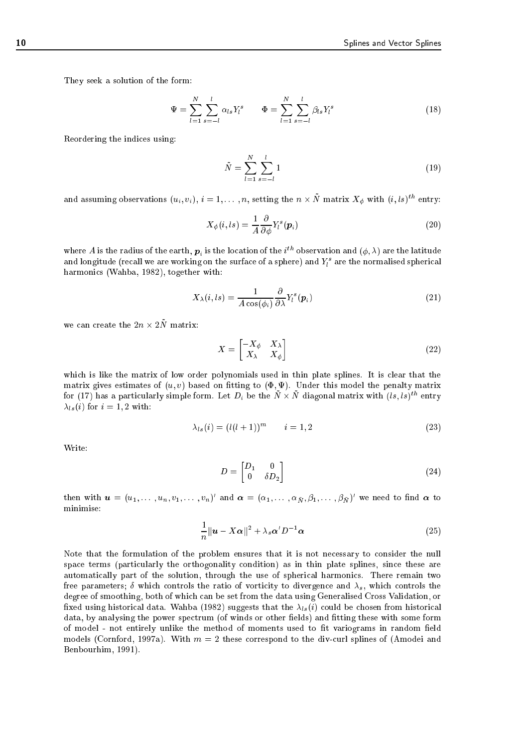They seek a solution of the form:

$$
\Psi = \sum_{l=1}^{N} \sum_{s=-l}^{l} \alpha_{ls} Y_{l}^{s} \qquad \Phi = \sum_{l=1}^{N} \sum_{s=-l}^{l} \beta_{ls} Y_{l}^{s} \qquad (18)
$$

Reordering the indices using:

$$
\tilde{N} = \sum_{l=1}^{N} \sum_{s=-l}^{l} 1
$$
\n(19)

and assuming observations  $(u_i, v_i),\, i=1,\ldots,n,$  setting the  $n\times n$  matrix  $\Lambda_\phi$  with  $(i, is)$  entry:

$$
X_{\phi}(i, ls) = \frac{1}{A} \frac{\partial}{\partial \phi} Y_i^s(\boldsymbol{p}_i)
$$
\n(20)

where A is the radius of the earth,  $\bm{p}_i$  is the location of the  $i$  --observation and  $(\psi, \lambda)$  are the latitude and longitude (recall we are working on the surface of a sphere) and  $T_l$  are the normalised spherical harmonics (Wahba, 1982), together with:

$$
X_{\lambda}(i, ls) = \frac{1}{A \cos(\phi_i)} \frac{\partial}{\partial \lambda} Y_i^s(\boldsymbol{p}_i)
$$
\n(21)

we can create the  $2n \times 2N$  matrix.

$$
X = \begin{bmatrix} -X_{\phi} & X_{\lambda} \\ X_{\lambda} & X_{\phi} \end{bmatrix} \tag{22}
$$

which is like the matrix of low order polynomials used in thin plate splines. It is clear that the matrix gives estimates of  $(u, v)$  based on fitting to  $(\Phi, \Psi)$ . Under this model the penalty matrix for (17) has a particularly simple form. Let  $D_i$  be the IV  $\times$  IV diagonal matrix with  $(\iota s,\iota s)$  " entry  $\lambda_{ls}(i)$  for  $i = 1, 2$  with:

$$
\lambda_{ls}(i) = (l(l+1))^m \qquad i = 1,2 \tag{23}
$$

Write:

$$
D = \begin{bmatrix} D_1 & 0 \\ 0 & \delta D_2 \end{bmatrix} \tag{24}
$$

then with  $\bm{u}=(u_1,\dots,u_n,v_1,\dots,v_n)$  and  $\bm{\alpha}=(\alpha_1,\dots,\alpha_{\bar{N}},\beta_1,\dots,\beta_{\bar{N}})$  we need to find  $\bm{\alpha}$  to minimise:

$$
\frac{1}{n}||\mathbf{u} - X\boldsymbol{\alpha}||^2 + \lambda_s \boldsymbol{\alpha}' D^{-1} \boldsymbol{\alpha}
$$
\n(25)

Note that the formulation of the problem ensures that it is not necessary to consider the null space terms (particularly the orthogonality condition) as in thin plate splines, since these are automatically part of the solution, through the use of spherical harmonics. There remain two free parameters;  $\delta$  which controls the ratio of vorticity to divergence and  $\lambda_s$ , which controls the degree of smoothing, both of which can be set from the data using Generalised Cross Validation, or fixed using historical data. Wahba (1982) suggests that the  $\lambda_{ls}(i)$  could be chosen from historical data, by analysing the power spectrum (of winds or other fields) and fitting these with some form of model - not entirely unlike the method of moments used to fit variograms in random field models (Cornford, 1997a). With  $m = 2$  these correspond to the div-curl splines of (Amodei and Benbourhim, 1991).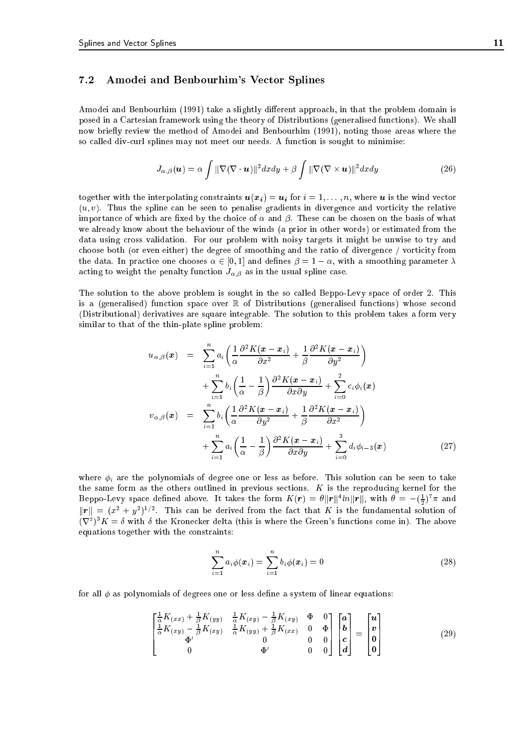## 7.2 Amodei and Benbourhim's Vector Splines

Amodei and Benbourhim (1991) take a slightly different approach, in that the problem domain is posed in a Cartesian framework using the theory of Distributions (generalised functions). We shall now briefly review the method of Amodei and Benbourhim (1991), noting those areas where the so called div-curl splines may not meet our needs. A function is sought to minimise:

$$
J_{\alpha,\beta}(\boldsymbol{u}) = \alpha \int ||\nabla(\nabla \cdot \boldsymbol{u})||^2 dx dy + \beta \int ||\nabla(\nabla \times \boldsymbol{u})||^2 dx dy \qquad (26)
$$

together with the interpolating constraints  $u(x_i) = u_i$  for  $i = 1, ..., n$ , where u is the wind vector  $(u, v)$ . Thus the spline can be seen to penalise gradients in divergence and vorticity the relative importance of which are fixed by the choice of  $\alpha$  and  $\beta$ . These can be chosen on the basis of what we already know about the behaviour of the winds (a prior in other words) or estimated from the data using cross validation. For our problem with noisy targets it might be unwise to try and choose both (or even either) the degree of smoothing and the ratio of divergence / vorticity from the data. In practice one chooses  $\alpha \in [0,1]$  and defines  $\beta = 1 - \alpha$ , with a smoothing parameter  $\lambda$ acting to weight the penalty function  $J_{\alpha,\beta}$  as in the usual spline case.

The solution to the above problem is sought in the so called Beppo-Levy space of order 2. This is a (generalised) function space over  $\mathbb R$  of Distributions (generalised functions) whose second (Distributional) derivatives are square integrable. The solution to this problem takes a form very similar to that of the thin-plate spline problem:

$$
u_{\alpha,\beta}(\boldsymbol{x}) = \sum_{i=1}^{n} a_i \left( \frac{1}{\alpha} \frac{\partial^2 K(\boldsymbol{x} - \boldsymbol{x}_i)}{\partial x^2} + \frac{1}{\beta} \frac{\partial^2 K(\boldsymbol{x} - \boldsymbol{x}_i)}{\partial y^2} \right) + \sum_{i=1}^{n} b_i \left( \frac{1}{\alpha} - \frac{1}{\beta} \right) \frac{\partial^2 K(\boldsymbol{x} - \boldsymbol{x}_i)}{\partial x \partial y} + \sum_{i=0}^{2} c_i \phi_i(\boldsymbol{x}) v_{\alpha,\beta}(\boldsymbol{x}) = \sum_{i=1}^{n} b_i \left( \frac{1}{\alpha} \frac{\partial^2 K(\boldsymbol{x} - \boldsymbol{x}_i)}{\partial y^2} + \frac{1}{\beta} \frac{\partial^2 K(\boldsymbol{x} - \boldsymbol{x}_i)}{\partial x^2} \right) + \sum_{i=1}^{n} a_i \left( \frac{1}{\alpha} - \frac{1}{\beta} \right) \frac{\partial^2 K(\boldsymbol{x} - \boldsymbol{x}_i)}{\partial x \partial y} + \sum_{i=0}^{3} d_i \phi_{i-3}(\boldsymbol{x}) \tag{27}
$$

where  $\phi_i$  are the polynomials of degree one or less as before. This solution can be seen to take the same form as the others outlined in previous sections.  $K$  is the reproducing kernel for the Beppo-Levy space defined above. It takes the form  $K(r) = \sigma ||r|| \cdot \iota n ||r||$ , with  $\sigma = -(\frac{1}{2})^{\alpha} \pi$  and  $||r|| = (x^2 + y^2)^{1/2}$ . This can be derived from the fact that K is the fundamental solution of  $(\nabla^2)^3 K = \delta$  with  $\delta$  the Kronecker delta (this is where the Green's functions come in). The above equations together with the constraints:

$$
\sum_{i=1}^{n} a_i \phi(\boldsymbol{x}_i) = \sum_{i=1}^{n} b_i \phi(\boldsymbol{x}_i) = 0
$$
\n(28)

for all  $\phi$  as polynomials of degrees one or less define a system of linear equations:

$$
\begin{bmatrix}\n\frac{1}{\alpha}K_{(xx)} + \frac{1}{\beta}K_{(yy)} & \frac{1}{\alpha}K_{(xy)} - \frac{1}{\beta}K_{(xy)} & \Phi & 0 \\
\frac{1}{\alpha}K_{(xy)} - \frac{1}{\beta}K_{(xy)} & \frac{1}{\alpha}K_{(yy)} + \frac{1}{\beta}K_{(xx)} & 0 & \Phi \\
\Phi' & 0 & 0 & 0 \\
0 & \Phi' & 0 & 0\n\end{bmatrix}\n\begin{bmatrix}\na \\
b \\
c \\
d\n\end{bmatrix} =\n\begin{bmatrix}\nu \\
v \\
0 \\
0\n\end{bmatrix}
$$
\n(29)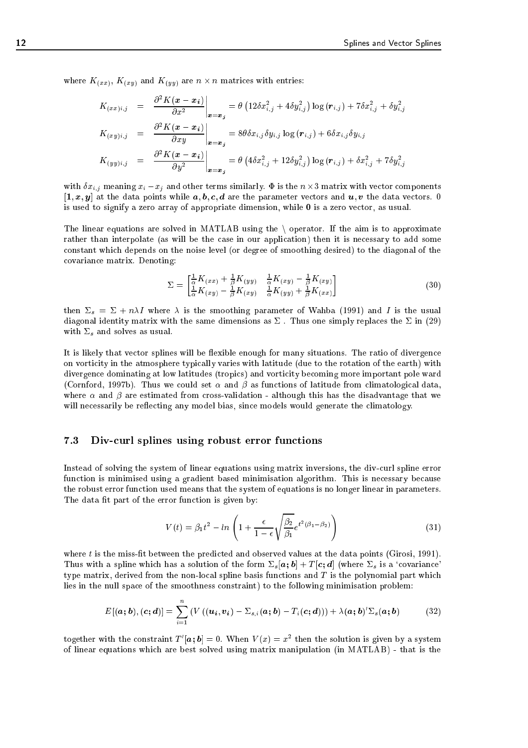where K(xx), K(xy) and K(y)) are n - n matrices with entries: where the contribution

$$
K_{(xx)i,j} = \frac{\partial^2 K(\mathbf{x} - \mathbf{x_i})}{\partial x^2} \Big|_{\mathbf{x} = \mathbf{x_j}} = \theta \left( 12 \delta x_{i,j}^2 + 4 \delta y_{i,j}^2 \right) \log(\mathbf{r}_{i,j}) + 7 \delta x_{i,j}^2 + \delta y_{i,j}^2
$$

$$
K_{(xy)i,j} = \frac{\partial^2 K(\mathbf{x} - \mathbf{x_i})}{\partial x y} \Big|_{\mathbf{x} = \mathbf{x_j}} = 8 \theta \delta x_{i,j} \delta y_{i,j} \log(\mathbf{r}_{i,j}) + 6 \delta x_{i,j} \delta y_{i,j}
$$

$$
K_{(yy)i,j} = \frac{\partial^2 K(\mathbf{x} - \mathbf{x_i})}{\partial y^2} \Big|_{\mathbf{x} = \mathbf{x_i}} = \theta \left( 4 \delta x_{i,j}^2 + 12 \delta y_{i,j}^2 \right) \log(\mathbf{r}_{i,j}) + \delta x_{i,j}^2 + 7 \delta y_{i,j}^2
$$

with  $\mathbf{x}_i$  is the similar  $\mathbf{x}_j$  and  $\mathbf{x}_j$  and  $\mathbf{x}_j$  are not not not not not another components of  $\mathbf{x}_j$  $[1, x, y]$  at the data points while  $a, b, c, d$  are the parameter vectors and  $u, v$  the data vectors. 0 is used to signify a zero array of appropriate dimension, while <sup>0</sup> is a zero vector, as usual.

 $\cdot$   $\cdot$   $\cdot$   $\cdot$ 

The linear equations are solved in MATLAB using the  $\setminus$  operator. If the aim is to approximate rather than interpolate (as will be the case in our application) then it is necessary to add some constant which depends on the noise level (or degree of smoothing desired) to the diagonal of the covariance matrix. Denoting:

$$
\Sigma = \begin{bmatrix} \frac{1}{\alpha} K_{(xx)} + \frac{1}{\beta} K_{(yy)} & \frac{1}{\alpha} K_{(xy)} - \frac{1}{\beta} K_{(xy)} \\ \frac{1}{\alpha} K_{(xy)} - \frac{1}{\beta} K_{(xy)} & \frac{1}{\alpha} K_{(yy)} + \frac{1}{\beta} K_{(xx)} \end{bmatrix}
$$
(30)

then  $\Sigma_s = \Sigma + n\lambda I$  where  $\lambda$  is the smoothing parameter of Wahba (1991) and I is the usual diagonal identity matrix with the same dimensions as  $\Sigma$ . Thus one simply replaces the  $\Sigma$  in (29) with  $\Sigma_s$  and solves as usual.

It is likely that vector splines will be flexible enough for many situations. The ratio of divergence on vorticity in the atmosphere typically varies with latitude (due to the rotation of the earth) with divergence dominating at low latitudes (tropics) and vorticity becoming more important pole ward (Cornford, 1997b). Thus we could set  $\alpha$  and  $\beta$  as functions of latitude from climatological data, where  $\alpha$  and  $\beta$  are estimated from cross-validation - although this has the disadvantage that we will necessarily be reflecting any model bias, since models would generate the climatology.

## 7.3 Div-curl splines using robust error functions

Instead of solving the system of linear equations using matrix inversions, the div-curl spline error function is minimised using a gradient based minimisation algorithm. This is necessary because the robust error function used means that the system of equations is no longer linear in parameters. The data fit part of the error function is given by:

$$
V(t) = \beta_1 t^2 - \ln\left(1 + \frac{\epsilon}{1 - \epsilon} \sqrt{\frac{\beta_2}{\beta_1}} e^{t^2(\beta_1 - \beta_2)}\right)
$$
 (31)

where t is the miss-fit between the predicted and observed values at the data points (Girosi, 1991). Thus with a spline which has a solution of the form  $\Sigma_s[a; b] + T[c; d]$  (where  $\Sigma_s$  is a 'covariance' type matrix, derived from the non-local spline basis functions and  $T$  is the polynomial part which lies in the null space of the smoothness constraint) to the following minimisation problem:

$$
E[(\boldsymbol{a};\boldsymbol{b}),(\boldsymbol{c};\boldsymbol{d})]=\sum_{i=1}^n\left(V((\boldsymbol{u}_i,\boldsymbol{v}_i)-\Sigma_{s,i}(\boldsymbol{a};\boldsymbol{b})-T_i(\boldsymbol{c};\boldsymbol{d}))\right)+\lambda(\boldsymbol{a};\boldsymbol{b})'\Sigma_s(\boldsymbol{a};\boldsymbol{b})
$$
(32)

together with the constraint  $T_\parallel |a; b| = 0$ . When  $V(x) = x^\perp$  then the solution is given by a system of linear equations which are best solved using matrix manipulation (in MATLAB) - that is the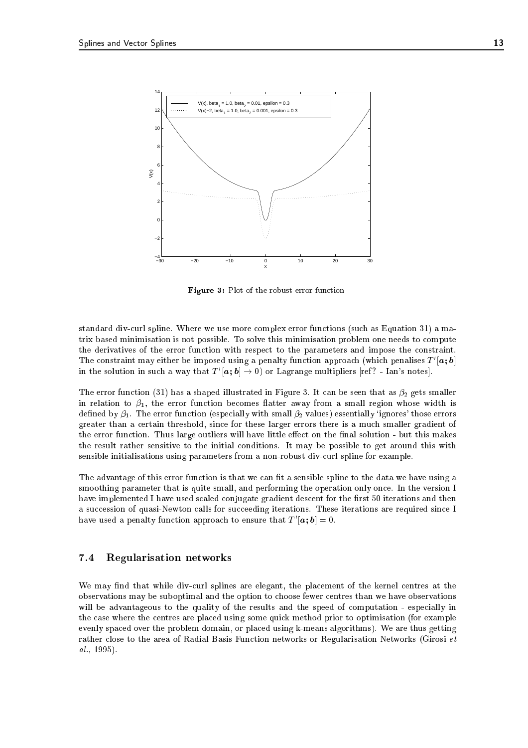

Figure 3: Plot of the robust error function

standard div-curl spline. Where we use more complex error functions (such as Equation 31) a matrix based minimisation is not possible. To solve this minimisation problem one needs to compute the derivatives of the error function with respect to the parameters and impose the constraint. I he constraint may either be imposed using a penalty function approach (which penalises  $T$   $[\boldsymbol{a}; \boldsymbol{b}]$ in the solution in such a way that  $T'[\boldsymbol{a};\boldsymbol{b}]\rightarrow 0)$  or Lagrange multipliers [ref? - Ian's notes].

The error function (31) has a shaped illustrated in Figure 3. It can be seen that as  $\beta_2$  gets smaller in relation to  $\beta_1$ , the error function becomes flatter away from a small region whose width is defined by  $\beta_1$ . The error function (especially with small  $\beta_2$  values) essentially 'ignores' those errors greater than a certain threshold, since for these larger errors there is a much smaller gradient of the error function. Thus large outliers will have little effect on the final solution - but this makes the result rather sensitive to the initial conditions. It may be possible to get around this with sensible initialisations using parameters from a non-robust div-curl spline for example.

The advantage of this error function is that we can fit a sensible spline to the data we have using a smoothing parameter that is quite small, and performing the operation only once. In the version I have implemented I have used scaled conjugate gradient descent for the first 50 iterations and then a succession of quasi-Newton calls for succeeding iterations. These iterations are required since I nave used a penaity function approach to ensure that  $I_0(a; b) = 0.$ 

## 7.4 Regularisation networks

We may find that while div-curl splines are elegant, the placement of the kernel centres at the observations may be suboptimal and the option to choose fewer centres than we have observations will be advantageous to the quality of the results and the speed of computation - especially in the case where the centres are placed using some quick method prior to optimisation (for example evenly spaced over the problem domain, or placed using k-means algorithms). We are thus getting rather close to the area of Radial Basis Function networks or Regularisation Networks (Girosi et al., 1995).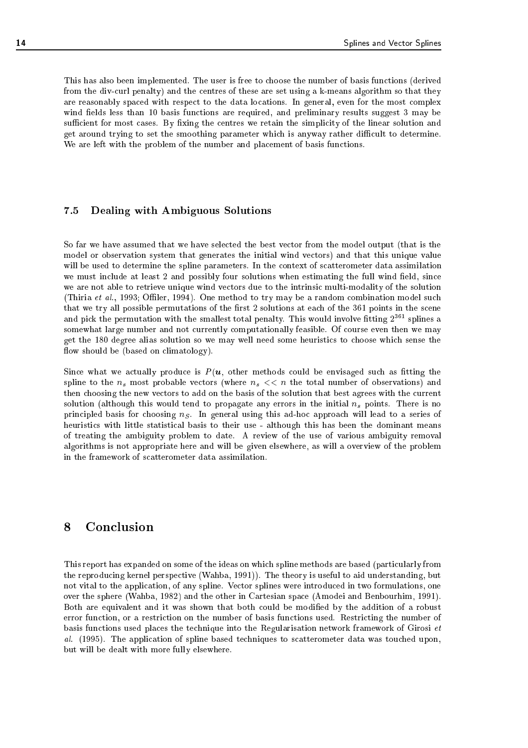This has also been implemented. The user is free to choose the number of basis functions (derived from the div-curl penalty) and the centres of these are set using a k-means algorithm so that they are reasonably spaced with respect to the data locations. In general, even for the most complex wind fields less than 10 basis functions are required, and preliminary results suggest 3 may be sufficient for most cases. By fixing the centres we retain the simplicity of the linear solution and get around trying to set the smoothing parameter which is anyway rather difficult to determine. We are left with the problem of the number and placement of basis functions.

## 7.5 Dealing with Ambiguous Solutions

So far we have assumed that we have selected the best vector from the model output (that is the model or observation system that generates the initial wind vectors) and that this unique value will be used to determine the spline parameters. In the context of scatterometer data assimilation we must include at least 2 and possibly four solutions when estimating the full wind field, since we are not able to retrieve unique wind vectors due to the intrinsic multi-modality of the solution (Thiria et al., 1993; Offiler, 1994). One method to try may be a random combination model such that we try all possible permutations of the first 2 solutions at each of the 361 points in the scene and pick the permutation with the smallest total penalty. This would involve fitting  $2^{361}$  splines a somewhat large number and not currently computationally feasible. Of course even then we may get the 180 degree alias solution so we may well need some heuristics to choose which sense the flow should be (based on climatology).

Since what we actually produce is  $P(u)$ , other methods could be envisaged such as fitting the spline to the  $n_s$  most probable vectors (where  $n_s \ll n$  the total number of observations) and then choosing the new vectors to add on the basis of the solution that best agrees with the current solution (although this would tend to propagate any errors in the initial  $n_s$  points. There is no principled basis for choosing  $n<sub>S</sub>$ . In general using this ad-hoc approach will lead to a series of heuristics with little statistical basis to their use - although this has been the dominant means of treating the ambiguity problem to date. A review of the use of various ambiguity removal algorithms is not appropriate here and will be given elsewhere, as will a overview of the problem in the framework of scatterometer data assimilation.

#### 8 **Conclusion**

This report has expanded on some of the ideas on which spline methods are based (particularly from the reproducing kernel perspective (Wahba, 1991)). The theory is useful to aid understanding, but not vital to the application, of any spline. Vector splines were introduced in two formulations, one over the sphere (Wahba, 1982) and the other in Cartesian space (Amodei and Benbourhim, 1991). Both are equivalent and it was shown that both could be modied by the addition of a robust error function, or a restriction on the number of basis functions used. Restricting the number of basis functions used places the technique into the Regularisation network framework of Girosi et al. (1995). The application of spline based techniques to scatterometer data was touched upon, but will be dealt with more fully elsewhere.